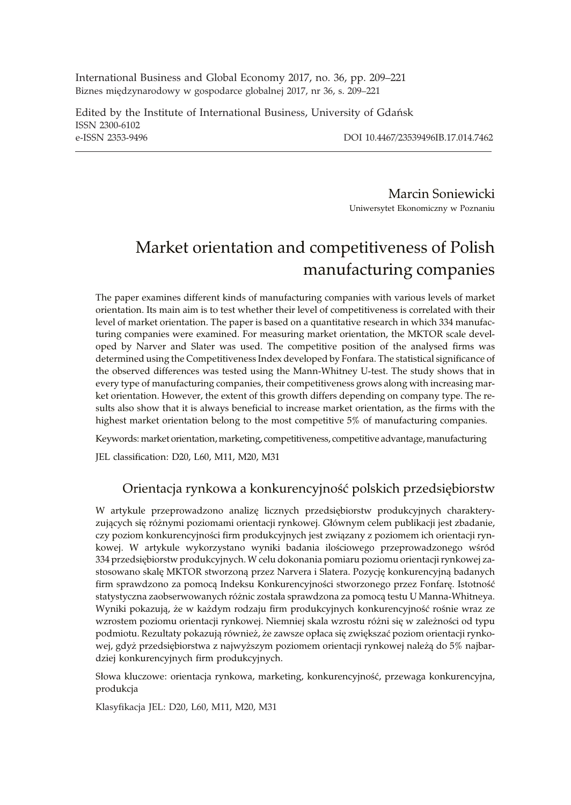International Business and Global Economy 2017, no. 36, pp. 209–221 Biznes międzynarodowy w gospodarce globalnej 2017, nr 36, s. 209-221

Edited by the Institute of International Business, University of Gdañsk ISSN 2300-6102 e-ISSN 2353-9496 DOI 10.4467/23539496IB.17.014.7462

Marcin Soniewicki Uniwersytet Ekonomiczny w Poznaniu

# Market orientation and competitiveness of Polish manufacturing companies

The paper examines different kinds of manufacturing companies with various levels of market orientation. Its main aim is to test whether their level of competitiveness is correlated with their level of market orientation. The paper is based on a quantitative research in which 334 manufacturing companies were examined. For measuring market orientation, the MKTOR scale developed by Narver and Slater was used. The competitive position of the analysed firms was determined using the Competitiveness Index developed by Fonfara. The statistical significance of the observed differences was tested using the Mann-Whitney U-test. The study shows that in every type of manufacturing companies, their competitiveness grows along with increasing market orientation. However, the extent of this growth differs depending on company type. The results also show that it is always beneficial to increase market orientation, as the firms with the highest market orientation belong to the most competitive 5% of manufacturing companies.

Keywords: market orientation, marketing, competitiveness, competitive advantage, manufacturing

JEL classification: D20, L60, M11, M20, M31

## Orientacja rynkowa a konkurencyjność polskich przedsiębiorstw

W artykule przeprowadzono analizę licznych przedsiębiorstw produkcyjnych charakteryzujących się różnymi poziomami orientacji rynkowej. Głównym celem publikacji jest zbadanie, czy poziom konkurencyjności firm produkcyjnych jest związany z poziomem ich orientacji rynkowej. W artykule wykorzystano wyniki badania ilościowego przeprowadzonego wśród 334 przedsiêbiorstw produkcyjnych. W celu dokonania pomiaru poziomu orientacji rynkowej zastosowano skalę MKTOR stworzoną przez Narvera i Slatera. Pozycję konkurencyjną badanych firm sprawdzono za pomocą Indeksu Konkurencyjności stworzonego przez Fonfarę. Istotność statystyczna zaobserwowanych różnic została sprawdzona za pomocą testu U Manna-Whitneya. Wyniki pokazują, że w każdym rodzaju firm produkcyjnych konkurencyjność rośnie wraz ze wzrostem poziomu orientacji rynkowej. Niemniej skala wzrostu różni się w zależności od typu podmiotu. Rezultaty pokazują również, że zawsze opłaca się zwiększać poziom orientacji rynkowej, gdyż przedsiębiorstwa z najwyższym poziomem orientacji rynkowej należą do 5% najbardziej konkurencyjnych firm produkcyjnych.

Słowa kluczowe: orientacja rynkowa, marketing, konkurencyjność, przewaga konkurencyjna, produkcja

Klasyfikacja JEL: D20, L60, M11, M20, M31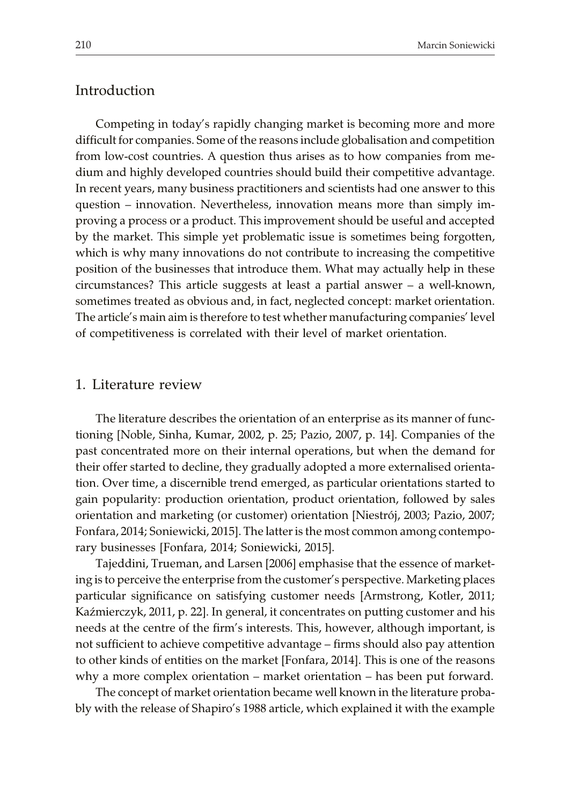# Introduction

Competing in today's rapidly changing market is becoming more and more difficult for companies. Some of the reasons include globalisation and competition from low-cost countries. A question thus arises as to how companies from medium and highly developed countries should build their competitive advantage. In recent years, many business practitioners and scientists had one answer to this question – innovation. Nevertheless, innovation means more than simply improving a process or a product. This improvement should be useful and accepted by the market. This simple yet problematic issue is sometimes being forgotten, which is why many innovations do not contribute to increasing the competitive position of the businesses that introduce them. What may actually help in these circumstances? This article suggests at least a partial answer – a well-known, sometimes treated as obvious and, in fact, neglected concept: market orientation. The article's main aim is therefore to test whether manufacturing companies' level of competitiveness is correlated with their level of market orientation.

#### 1. Literature review

The literature describes the orientation of an enterprise as its manner of functioning [Noble, Sinha, Kumar, 2002, p. 25; Pazio, 2007, p. 14]. Companies of the past concentrated more on their internal operations, but when the demand for their offer started to decline, they gradually adopted a more externalised orientation. Over time, a discernible trend emerged, as particular orientations started to gain popularity: production orientation, product orientation, followed by sales orientation and marketing (or customer) orientation [Niestrój, 2003; Pazio, 2007; Fonfara, 2014; Soniewicki, 2015]. The latter is the most common among contemporary businesses [Fonfara, 2014; Soniewicki, 2015].

Tajeddini, Trueman, and Larsen [2006] emphasise that the essence of marketing is to perceive the enterprise from the customer's perspective. Marketing places particular significance on satisfying customer needs [Armstrong, Kotler, 2011; Kaźmierczyk, 2011, p. 22]. In general, it concentrates on putting customer and his needs at the centre of the firm's interests. This, however, although important, is not sufficient to achieve competitive advantage – firms should also pay attention to other kinds of entities on the market [Fonfara, 2014]. This is one of the reasons why a more complex orientation – market orientation – has been put forward.

The concept of market orientation became well known in the literature probably with the release of Shapiro's 1988 article, which explained it with the example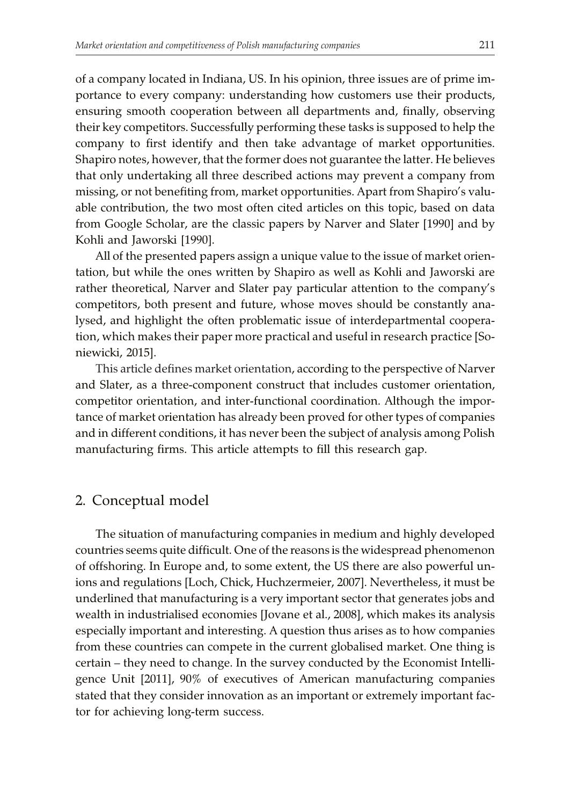of a company located in Indiana, US. In his opinion, three issues are of prime importance to every company: understanding how customers use their products, ensuring smooth cooperation between all departments and, finally, observing their key competitors. Successfully performing these tasks is supposed to help the company to first identify and then take advantage of market opportunities. Shapiro notes, however, that the former does not guarantee the latter. He believes that only undertaking all three described actions may prevent a company from missing, or not benefiting from, market opportunities. Apart from Shapiro's valuable contribution, the two most often cited articles on this topic, based on data from Google Scholar, are the classic papers by Narver and Slater [1990] and by Kohli and Jaworski [1990].

All of the presented papers assign a unique value to the issue of market orientation, but while the ones written by Shapiro as well as Kohli and Jaworski are rather theoretical, Narver and Slater pay particular attention to the company's competitors, both present and future, whose moves should be constantly analysed, and highlight the often problematic issue of interdepartmental cooperation, which makes their paper more practical and useful in research practice [Soniewicki, 2015].

This article defines market orientation, according to the perspective of Narver and Slater, as a three-component construct that includes customer orientation, competitor orientation, and inter-functional coordination. Although the importance of market orientation has already been proved for other types of companies and in different conditions, it has never been the subject of analysis among Polish manufacturing firms. This article attempts to fill this research gap.

## 2. Conceptual model

The situation of manufacturing companies in medium and highly developed countries seems quite difficult. One of the reasons is the widespread phenomenon of offshoring. In Europe and, to some extent, the US there are also powerful unions and regulations [Loch, Chick, Huchzermeier, 2007]. Nevertheless, it must be underlined that manufacturing is a very important sector that generates jobs and wealth in industrialised economies [Jovane et al., 2008], which makes its analysis especially important and interesting. A question thus arises as to how companies from these countries can compete in the current globalised market. One thing is certain – they need to change. In the survey conducted by the Economist Intelligence Unit [2011], 90% of executives of American manufacturing companies stated that they consider innovation as an important or extremely important factor for achieving long-term success.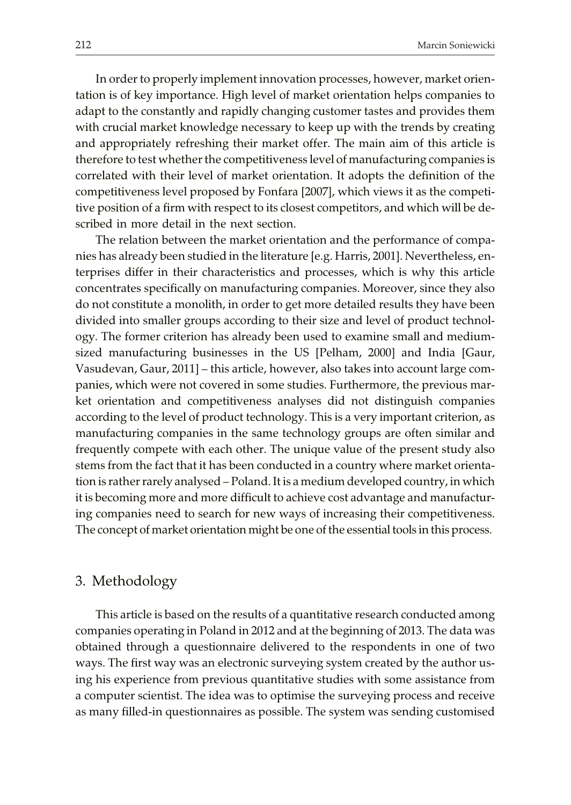In order to properly implement innovation processes, however, market orientation is of key importance. High level of market orientation helps companies to adapt to the constantly and rapidly changing customer tastes and provides them with crucial market knowledge necessary to keep up with the trends by creating and appropriately refreshing their market offer. The main aim of this article is therefore to test whether the competitiveness level of manufacturing companies is correlated with their level of market orientation. It adopts the definition of the competitiveness level proposed by Fonfara [2007], which views it as the competitive position of a firm with respect to its closest competitors, and which will be described in more detail in the next section.

The relation between the market orientation and the performance of companies has already been studied in the literature [e.g. Harris, 2001]. Nevertheless, enterprises differ in their characteristics and processes, which is why this article concentrates specifically on manufacturing companies. Moreover, since they also do not constitute a monolith, in order to get more detailed results they have been divided into smaller groups according to their size and level of product technology. The former criterion has already been used to examine small and mediumsized manufacturing businesses in the US [Pelham, 2000] and India [Gaur, Vasudevan, Gaur, 2011] – this article, however, also takes into account large companies, which were not covered in some studies. Furthermore, the previous market orientation and competitiveness analyses did not distinguish companies according to the level of product technology. This is a very important criterion, as manufacturing companies in the same technology groups are often similar and frequently compete with each other. The unique value of the present study also stems from the fact that it has been conducted in a country where market orientation is rather rarely analysed – Poland. It is a medium developed country, in which it is becoming more and more difficult to achieve cost advantage and manufacturing companies need to search for new ways of increasing their competitiveness. The concept of market orientation might be one of the essential tools in this process.

### 3. Methodology

This article is based on the results of a quantitative research conducted among companies operating in Poland in 2012 and at the beginning of 2013. The data was obtained through a questionnaire delivered to the respondents in one of two ways. The first way was an electronic surveying system created by the author using his experience from previous quantitative studies with some assistance from a computer scientist. The idea was to optimise the surveying process and receive as many filled-in questionnaires as possible. The system was sending customised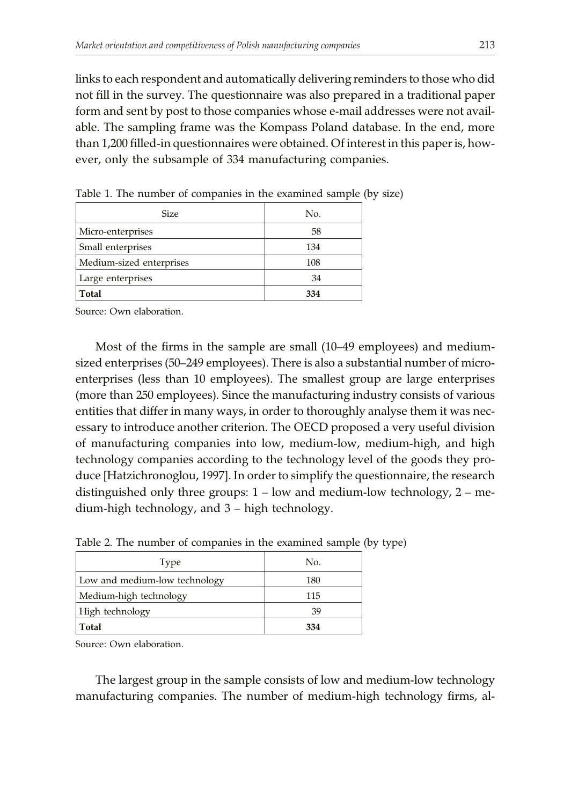links to each respondent and automatically delivering reminders to those who did not fill in the survey. The questionnaire was also prepared in a traditional paper form and sent by post to those companies whose e-mail addresses were not available. The sampling frame was the Kompass Poland database. In the end, more than 1,200 filled-in questionnaires were obtained. Of interest in this paper is, however, only the subsample of 334 manufacturing companies.

| <b>Size</b>              | No. |
|--------------------------|-----|
| Micro-enterprises        | 58  |
| Small enterprises        | 134 |
| Medium-sized enterprises | 108 |
| Large enterprises        | 34  |
| <b>Total</b>             | 334 |

Table 1. The number of companies in the examined sample (by size)

Source: Own elaboration.

Most of the firms in the sample are small (10–49 employees) and mediumsized enterprises (50–249 employees). There is also a substantial number of microenterprises (less than 10 employees). The smallest group are large enterprises (more than 250 employees). Since the manufacturing industry consists of various entities that differ in many ways, in order to thoroughly analyse them it was necessary to introduce another criterion. The OECD proposed a very useful division of manufacturing companies into low, medium-low, medium-high, and high technology companies according to the technology level of the goods they produce [Hatzichronoglou, 1997]. In order to simplify the questionnaire, the research distinguished only three groups: 1 – low and medium-low technology, 2 – medium-high technology, and 3 – high technology.

| Type                          | No. |
|-------------------------------|-----|
| Low and medium-low technology | 180 |
| Medium-high technology        | 115 |
| High technology               | 39  |
| Total                         | 334 |

Table 2. The number of companies in the examined sample (by type)

Source: Own elaboration.

The largest group in the sample consists of low and medium-low technology manufacturing companies. The number of medium-high technology firms, al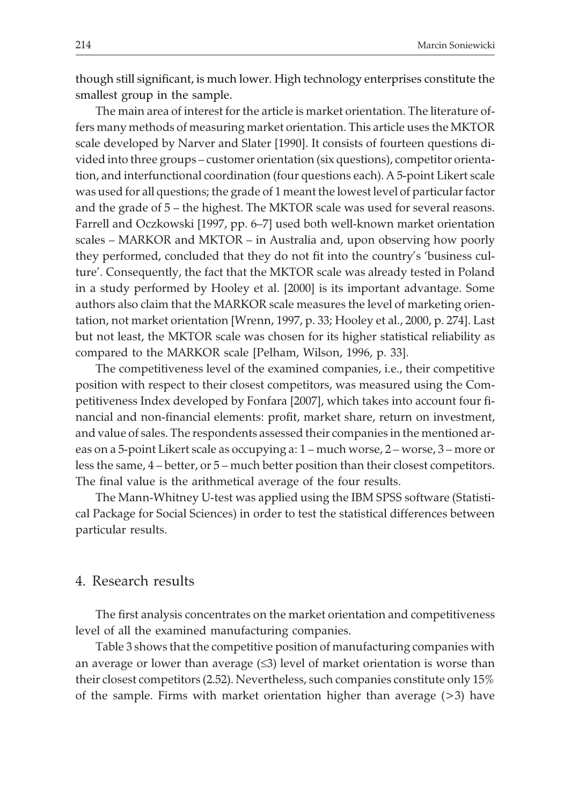though still significant, is much lower. High technology enterprises constitute the smallest group in the sample.

The main area of interest for the article is market orientation. The literature offers many methods of measuring market orientation. This article uses the MKTOR scale developed by Narver and Slater [1990]. It consists of fourteen questions divided into three groups – customer orientation (six questions), competitor orientation, and interfunctional coordination (four questions each). A 5-point Likert scale was used for all questions; the grade of 1 meant the lowest level of particular factor and the grade of 5 – the highest. The MKTOR scale was used for several reasons. Farrell and Oczkowski [1997, pp. 6–7] used both well-known market orientation scales – MARKOR and MKTOR – in Australia and, upon observing how poorly they performed, concluded that they do not fit into the country's 'business culture'. Consequently, the fact that the MKTOR scale was already tested in Poland in a study performed by Hooley et al. [2000] is its important advantage. Some authors also claim that the MARKOR scale measures the level of marketing orientation, not market orientation [Wrenn, 1997, p. 33; Hooley et al., 2000, p. 274]. Last but not least, the MKTOR scale was chosen for its higher statistical reliability as compared to the MARKOR scale [Pelham, Wilson, 1996, p. 33].

The competitiveness level of the examined companies, i.e., their competitive position with respect to their closest competitors, was measured using the Competitiveness Index developed by Fonfara [2007], which takes into account four financial and non-financial elements: profit, market share, return on investment, and value of sales. The respondents assessed their companies in the mentioned areas on a 5-point Likert scale as occupying a: 1 – much worse, 2 – worse, 3 – more or less the same, 4 – better, or 5 – much better position than their closest competitors. The final value is the arithmetical average of the four results.

The Mann-Whitney U-test was applied using the IBM SPSS software (Statistical Package for Social Sciences) in order to test the statistical differences between particular results.

## 4. Research results

The first analysis concentrates on the market orientation and competitiveness level of all the examined manufacturing companies.

Table 3 shows that the competitive position of manufacturing companies with an average or lower than average  $(\leq 3)$  level of market orientation is worse than their closest competitors (2.52). Nevertheless, such companies constitute only 15% of the sample. Firms with market orientation higher than average  $(>3)$  have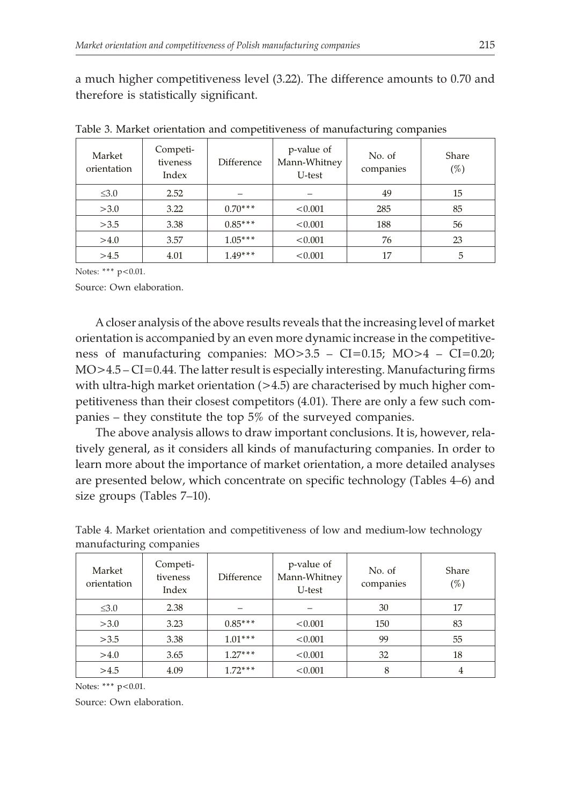a much higher competitiveness level (3.22). The difference amounts to 0.70 and therefore is statistically significant.

| Market<br>orientation | Competi-<br>tiveness<br>Index | Difference | p-value of<br>Mann-Whitney<br>U-test | No. of<br>companies | Share<br>$(\%)$ |
|-----------------------|-------------------------------|------------|--------------------------------------|---------------------|-----------------|
| $\leq 3.0$            | 2.52                          |            |                                      | 49                  | 15              |
| >3.0                  | 3.22                          | $0.70***$  | < 0.001                              | 285                 | 85              |
| >3.5                  | 3.38                          | $0.85***$  | < 0.001                              | 188                 | 56              |
| >4.0                  | 3.57                          | $1.05***$  | < 0.001                              | 76                  | 23              |
| >4.5                  | 4.01                          | $1.49***$  | < 0.001                              | 17                  | 5               |

Table 3. Market orientation and competitiveness of manufacturing companies

Notes: \*\*\* p<0.01.

Source: Own elaboration.

A closer analysis of the above results reveals that the increasing level of market orientation is accompanied by an even more dynamic increase in the competitiveness of manufacturing companies: MO>3.5 – CI=0.15; MO>4 – CI=0.20; MO>4.5 – CI=0.44. The latter result is especially interesting. Manufacturing firms with ultra-high market orientation  $(>4.5)$  are characterised by much higher competitiveness than their closest competitors (4.01). There are only a few such companies – they constitute the top 5% of the surveyed companies.

The above analysis allows to draw important conclusions. It is, however, relatively general, as it considers all kinds of manufacturing companies. In order to learn more about the importance of market orientation, a more detailed analyses are presented below, which concentrate on specific technology (Tables 4–6) and size groups (Tables 7–10).

| Market<br>orientation | Competi-<br>tiveness<br>Index | Difference | p-value of<br>Mann-Whitney<br>U-test | No. of<br>companies | Share<br>$(\%)$ |
|-----------------------|-------------------------------|------------|--------------------------------------|---------------------|-----------------|
| $\leq 3.0$            | 2.38                          |            |                                      | 30                  | 17              |
| >3.0                  | 3.23                          | $0.85***$  | < 0.001                              | 150                 | 83              |
| >3.5                  | 3.38                          | $1.01***$  | < 0.001                              | 99                  | 55              |
| >4.0                  | 3.65                          | $1.27***$  | < 0.001                              | 32                  | 18              |
| >4.5                  | 4.09                          | $1.72***$  | < 0.001                              | 8                   | 4               |

Table 4. Market orientation and competitiveness of low and medium-low technology manufacturing companies

Notes: \*\*\* p<0.01.

Source: Own elaboration.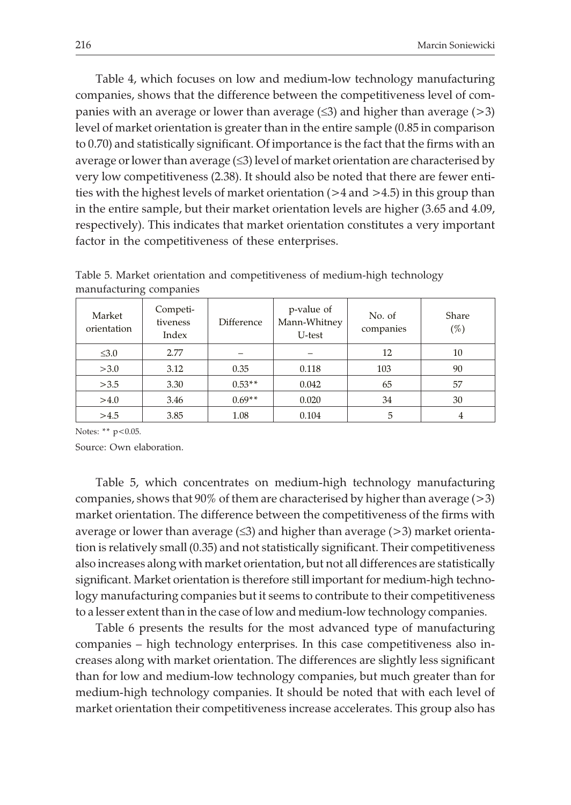Table 4, which focuses on low and medium-low technology manufacturing companies, shows that the difference between the competitiveness level of companies with an average or lower than average  $(\leq 3)$  and higher than average  $(> 3)$ level of market orientation is greater than in the entire sample (0.85 in comparison to 0.70) and statistically significant. Of importance is the fact that the firms with an average or lower than average  $(\leq 3)$  level of market orientation are characterised by very low competitiveness (2.38). It should also be noted that there are fewer entities with the highest levels of market orientation (>4 and >4.5) in this group than in the entire sample, but their market orientation levels are higher (3.65 and 4.09, respectively). This indicates that market orientation constitutes a very important factor in the competitiveness of these enterprises.

| mananacianing companies |                               |            |                                      |                     |                 |  |  |
|-------------------------|-------------------------------|------------|--------------------------------------|---------------------|-----------------|--|--|
| Market<br>orientation   | Competi-<br>tiveness<br>Index | Difference | p-value of<br>Mann-Whitney<br>U-test | No. of<br>companies | Share<br>$(\%)$ |  |  |
| $\leq 3.0$              | 2.77                          |            |                                      | 12                  | 10              |  |  |
| >3.0                    | 3.12                          | 0.35       | 0.118                                | 103                 | 90              |  |  |
| >3.5                    | 3.30                          | $0.53**$   | 0.042                                | 65                  | 57              |  |  |
| >4.0                    | 3.46                          | $0.69**$   | 0.020                                | 34                  | 30              |  |  |
| >4.5                    | 3.85                          | 1.08       | 0.104                                | 5                   | 4               |  |  |

Table 5. Market orientation and competitiveness of medium-high technology manufacturing companies

Notes: \*\*  $p$  < 0.05.

Source: Own elaboration.

Table 5, which concentrates on medium-high technology manufacturing companies, shows that  $90\%$  of them are characterised by higher than average ( $>3$ ) market orientation. The difference between the competitiveness of the firms with average or lower than average  $(\leq 3)$  and higher than average  $(>3)$  market orientation is relatively small (0.35) and not statistically significant. Their competitiveness also increases along with market orientation, but not all differences are statistically significant. Market orientation is therefore still important for medium-high technology manufacturing companies but it seems to contribute to their competitiveness to a lesser extent than in the case of low and medium-low technology companies.

Table 6 presents the results for the most advanced type of manufacturing companies – high technology enterprises. In this case competitiveness also increases along with market orientation. The differences are slightly less significant than for low and medium-low technology companies, but much greater than for medium-high technology companies. It should be noted that with each level of market orientation their competitiveness increase accelerates. This group also has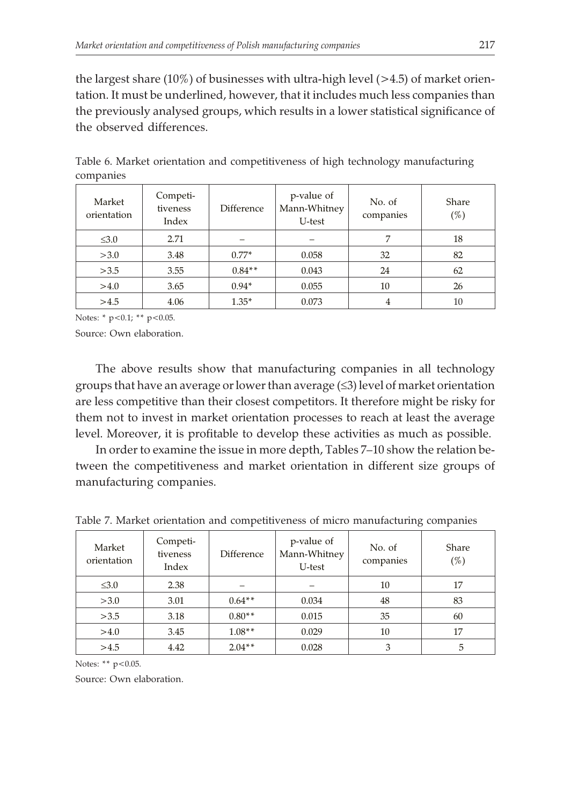the largest share  $(10\%)$  of businesses with ultra-high level  $(>4.5)$  of market orientation. It must be underlined, however, that it includes much less companies than the previously analysed groups, which results in a lower statistical significance of the observed differences.

| Market<br>orientation | Competi-<br>tiveness<br>Index | <b>Difference</b> | p-value of<br>Mann-Whitney<br>U-test | No. of<br>companies | Share<br>$(\%)$ |
|-----------------------|-------------------------------|-------------------|--------------------------------------|---------------------|-----------------|
| $\leq 3.0$            | 2.71                          |                   |                                      | 7                   | 18              |
| >3.0                  | 3.48                          | $0.77*$           | 0.058                                | 32                  | 82              |
| >3.5                  | 3.55                          | $0.84**$          | 0.043                                | 24                  | 62              |
| >4.0                  | 3.65                          | $0.94*$           | 0.055                                | 10                  | 26              |
| >4.5                  | 4.06                          | $1.35*$           | 0.073                                | 4                   | 10              |

Table 6. Market orientation and competitiveness of high technology manufacturing companies

Notes: \* p<0.1; \*\* p<0.05.

Source: Own elaboration.

The above results show that manufacturing companies in all technology groups that have an average or lower than average  $(\leq 3)$  level of market orientation are less competitive than their closest competitors. It therefore might be risky for them not to invest in market orientation processes to reach at least the average level. Moreover, it is profitable to develop these activities as much as possible.

In order to examine the issue in more depth, Tables 7–10 show the relation between the competitiveness and market orientation in different size groups of manufacturing companies.

| Market<br>orientation | Competi-<br>tiveness<br>Index | <b>Difference</b> | p-value of<br>Mann-Whitney<br>U-test | No. of<br>companies | Share<br>$(\%)$ |
|-----------------------|-------------------------------|-------------------|--------------------------------------|---------------------|-----------------|
| $\leq 3.0$            | 2.38                          |                   |                                      | 10                  | 17              |
| >3.0                  | 3.01                          | $0.64**$          | 0.034                                | 48                  | 83              |
| >3.5                  | 3.18                          | $0.80**$          | 0.015                                | 35                  | 60              |
| >4.0                  | 3.45                          | $1.08**$          | 0.029                                | 10                  | 17              |
| >4.5                  | 4.42                          | $2.04**$          | 0.028                                | 3                   | 5               |

Table 7. Market orientation and competitiveness of micro manufacturing companies

Notes: \*\* p<0.05.

Source: Own elaboration.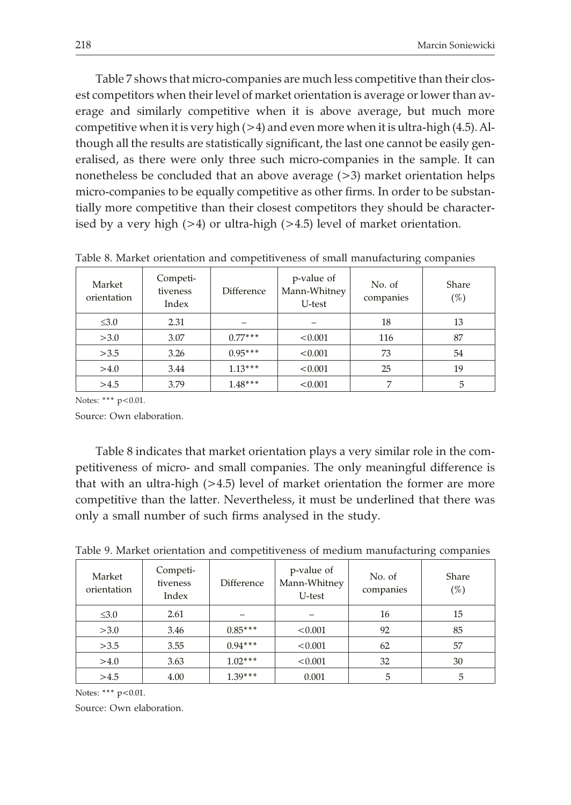Table 7 shows that micro-companies are much less competitive than their closest competitors when their level of market orientation is average or lower than average and similarly competitive when it is above average, but much more competitive when it is very high  $(>4)$  and even more when it is ultra-high  $(4.5)$ . Although all the results are statistically significant, the last one cannot be easily generalised, as there were only three such micro-companies in the sample. It can nonetheless be concluded that an above average (>3) market orientation helps micro-companies to be equally competitive as other firms. In order to be substantially more competitive than their closest competitors they should be characterised by a very high (>4) or ultra-high (>4.5) level of market orientation.

| Market<br>orientation | Competi-<br>tiveness<br>Index | Difference | p-value of<br>Mann-Whitney<br>U-test | No. of<br>companies | <b>Share</b><br>(%) |
|-----------------------|-------------------------------|------------|--------------------------------------|---------------------|---------------------|
| $\leq 3.0$            | 2.31                          |            |                                      | 18                  | 13                  |
| >3.0                  | 3.07                          | $0.77***$  | < 0.001                              | 116                 | 87                  |
| >3.5                  | 3.26                          | $0.95***$  | < 0.001                              | 73                  | 54                  |
| >4.0                  | 3.44                          | $1.13***$  | < 0.001                              | 25                  | 19                  |
| >4.5                  | 3.79                          | $1.48***$  | < 0.001                              | 7                   | 5                   |

Table 8. Market orientation and competitiveness of small manufacturing companies

Notes: \*\*\* p<0.01.

Source: Own elaboration.

Table 8 indicates that market orientation plays a very similar role in the competitiveness of micro- and small companies. The only meaningful difference is that with an ultra-high (>4.5) level of market orientation the former are more competitive than the latter. Nevertheless, it must be underlined that there was only a small number of such firms analysed in the study.

| Market<br>orientation | Competi-<br>tiveness<br>Index | Difference | p-value of<br>Mann-Whitney<br>U-test | No. of<br>companies | Share<br>$(\%)$ |
|-----------------------|-------------------------------|------------|--------------------------------------|---------------------|-----------------|
| $\leq 3.0$            | 2.61                          |            |                                      | 16                  | 15              |
| >3.0                  | 3.46                          | $0.85***$  | < 0.001                              | 92                  | 85              |
| >3.5                  | 3.55                          | $0.94***$  | < 0.001                              | 62                  | 57              |
| >4.0                  | 3.63                          | $1.02***$  | < 0.001                              | 32                  | 30              |
| >4.5                  | 4.00                          | $1.39***$  | 0.001                                | 5                   | 5               |

Table 9. Market orientation and competitiveness of medium manufacturing companies

Notes: \*\*\* p<0.01.

Source: Own elaboration.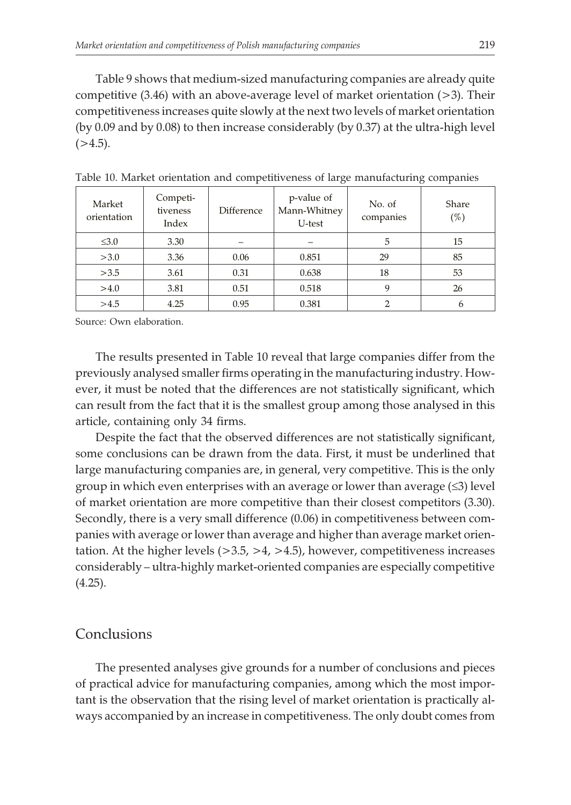Table 9 shows that medium-sized manufacturing companies are already quite competitive  $(3.46)$  with an above-average level of market orientation  $(>3)$ . Their competitiveness increases quite slowly at the next two levels of market orientation (by 0.09 and by 0.08) to then increase considerably (by 0.37) at the ultra-high level  $(>4.5)$ .

| Market<br>orientation | Competi-<br>tiveness<br>Index | Difference | p-value of<br>Mann-Whitney<br>U-test | No. of<br>companies | Share<br>$(\%)$ |
|-----------------------|-------------------------------|------------|--------------------------------------|---------------------|-----------------|
| $\leq 3.0$            | 3.30                          |            |                                      | 5                   | 15              |
| >3.0                  | 3.36                          | 0.06       | 0.851                                | 29                  | 85              |
| >3.5                  | 3.61                          | 0.31       | 0.638                                | 18                  | 53              |
| >4.0                  | 3.81                          | 0.51       | 0.518                                | 9                   | 26              |
| >4.5                  | 4.25                          | 0.95       | 0.381                                | C                   | 6               |

Table 10. Market orientation and competitiveness of large manufacturing companies

Source: Own elaboration.

The results presented in Table 10 reveal that large companies differ from the previously analysed smaller firms operating in the manufacturing industry. However, it must be noted that the differences are not statistically significant, which can result from the fact that it is the smallest group among those analysed in this article, containing only 34 firms.

Despite the fact that the observed differences are not statistically significant, some conclusions can be drawn from the data. First, it must be underlined that large manufacturing companies are, in general, very competitive. This is the only group in which even enterprises with an average or lower than average  $(\leq 3)$  level of market orientation are more competitive than their closest competitors (3.30). Secondly, there is a very small difference (0.06) in competitiveness between companies with average or lower than average and higher than average market orientation. At the higher levels  $(>3.5, >4, >4.5)$ , however, competitiveness increases considerably – ultra-highly market-oriented companies are especially competitive  $(4.25)$ .

## Conclusions

The presented analyses give grounds for a number of conclusions and pieces of practical advice for manufacturing companies, among which the most important is the observation that the rising level of market orientation is practically always accompanied by an increase in competitiveness. The only doubt comes from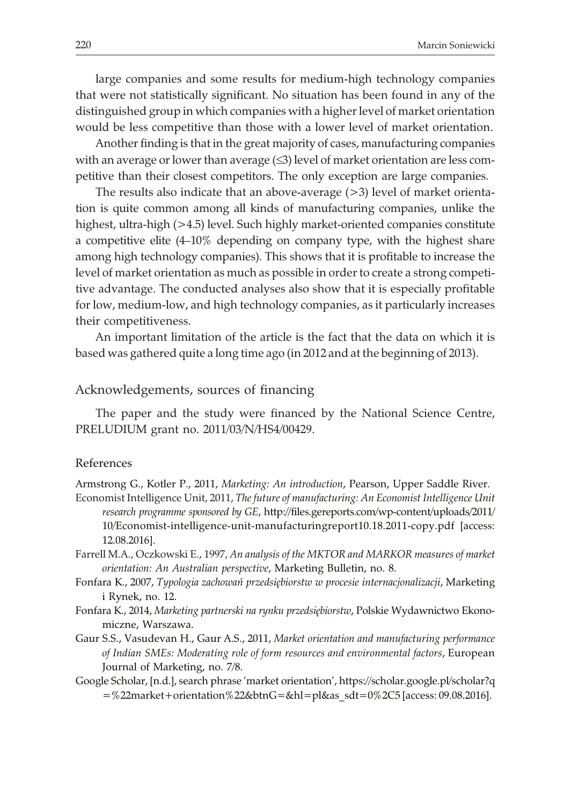large companies and some results for medium-high technology companies that were not statistically significant. No situation has been found in any of the distinguished group in which companies with a higher level of market orientation would be less competitive than those with a lower level of market orientation.

Another finding is that in the great majority of cases, manufacturing companies with an average or lower than average  $(\leq 3)$  level of market orientation are less competitive than their closest competitors. The only exception are large companies.

The results also indicate that an above-average (>3) level of market orientation is quite common among all kinds of manufacturing companies, unlike the highest, ultra-high (>4.5) level. Such highly market-oriented companies constitute a competitive elite (4–10% depending on company type, with the highest share among high technology companies). This shows that it is profitable to increase the level of market orientation as much as possible in order to create a strong competitive advantage. The conducted analyses also show that it is especially profitable for low, medium-low, and high technology companies, as it particularly increases their competitiveness.

An important limitation of the article is the fact that the data on which it is based was gathered quite a long time ago (in 2012 and at the beginning of 2013).

#### Acknowledgements, sources of financing

The paper and the study were financed by the National Science Centre, PRELUDIUM grant no. 2011/03/N/HS4/00429.

#### References

Armstrong G., Kotler P., 2011, *Marketing: An introduction*, Pearson, Upper Saddle River.

- Economist Intelligence Unit, 2011, *The future of manufacturing: An Economist Intelligence Unit research programme sponsored by GE*, http://files.gereports.com/wp-content/uploads/2011/ 10/Economist-intelligence-unit-manufacturingreport10.18.2011-copy.pdf [access: 12.08.2016].
- Farrell M.A., Oczkowski E., 1997, *An analysis of the MKTOR and MARKOR measures of market orientation: An Australian perspective*, Marketing Bulletin, no. 8.
- Fonfara K., 2007, *Typologia zachowań przedsiębiorstw w procesie internacjonalizacji*, Marketing i Rynek, no. 12.
- Fonfara K., 2014, *Marketing partnerski na rynku przedsiêbiorstw*, Polskie Wydawnictwo Ekonomiczne, Warszawa.
- Gaur S.S., Vasudevan H., Gaur A.S., 2011, *Market orientation and manufacturing performance of Indian SMEs: Moderating role of form resources and environmental factors*, European Journal of Marketing, no. 7/8.
- Google Scholar, [n.d.], search phrase 'market orientation', https://scholar.google.pl/scholar?q  $=$  %22market + orientation %22&btnG=&hl = pl&as  $sdt=0$  %2C5 [access: 09.08.2016].